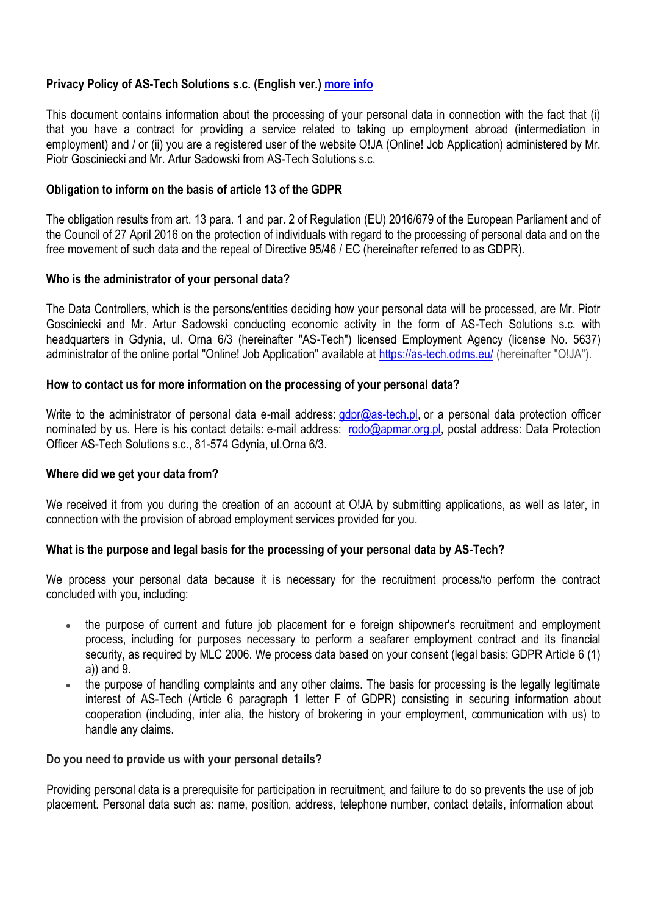# **Privacy Policy of AS-Tech Solutions s.c. (English ver.) [more info](http://www.as-tech.pl/static,31,eng,,)**

This document contains information about the processing of your personal data in connection with the fact that (i) that you have a contract for providing a service related to taking up employment abroad (intermediation in employment) and / or (ii) you are a registered user of the website O!JA (Online! Job Application) administered by Mr. Piotr Gosciniecki and Mr. Artur Sadowski from AS-Tech Solutions s.c.

### **Obligation to inform on the basis of article 13 of the GDPR**

The obligation results from art. 13 para. 1 and par. 2 of Regulation (EU) 2016/679 of the European Parliament and of the Council of 27 April 2016 on the protection of individuals with regard to the processing of personal data and on the free movement of such data and the repeal of Directive 95/46 / EC (hereinafter referred to as GDPR).

#### **Who is the administrator of your personal data?**

The Data Controllers, which is the persons/entities deciding how your personal data will be processed, are Mr. Piotr Gosciniecki and Mr. Artur Sadowski conducting economic activity in the form of AS-Tech Solutions s.c. with headquarters in Gdynia, ul. Orna 6/3 (hereinafter "AS-Tech") licensed Employment Agency (license No. 5637) administrator of the online portal "Online! Job Application" available at <https://as-tech.odms.eu/> (hereinafter "O!JA").

#### **How to contact us for more information on the processing of your personal data?**

Write to the administrator of personal data e-mail address: [gdpr@as-tech.pl,](gdpr@as-tech.pl) or a personal data protection officer nominated by us. Here is his contact details: e-mail address: [rodo@apmar.org.pl,](rodo@apmar.org.pl) postal address: Data Protection Officer AS-Tech Solutions s.c., 81-574 Gdynia, ul.Orna 6/3.

### **Where did we get your data from?**

We received it from you during the creation of an account at O!JA by submitting applications, as well as later, in connection with the provision of abroad employment services provided for you.

### **What is the purpose and legal basis for the processing of your personal data by AS-Tech?**

We process your personal data because it is necessary for the recruitment process/to perform the contract concluded with you, including:

- the purpose of current and future job placement for e foreign shipowner's recruitment and employment process, including for purposes necessary to perform a seafarer employment contract and its financial security, as required by MLC 2006. We process data based on your consent (legal basis: GDPR Article 6 (1) a)) and 9.
- the purpose of handling complaints and any other claims. The basis for processing is the legally legitimate interest of AS-Tech (Article 6 paragraph 1 letter F of GDPR) consisting in securing information about cooperation (including, inter alia, the history of brokering in your employment, communication with us) to handle any claims.

#### **Do you need to provide us with your personal details?**

Providing personal data is a prerequisite for participation in recruitment, and failure to do so prevents the use of job placement. Personal data such as: name, position, address, telephone number, contact details, information about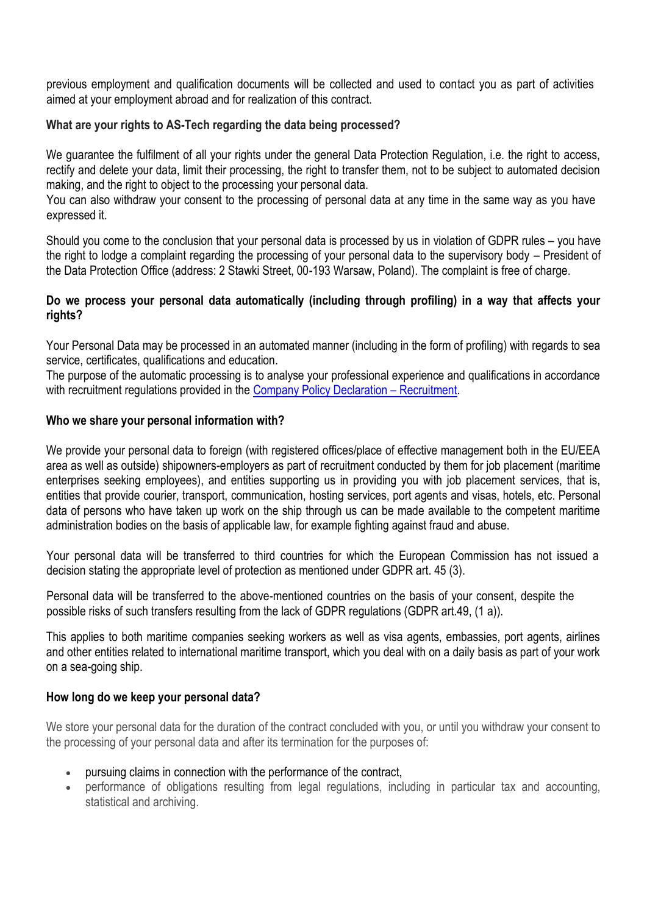previous employment and qualification documents will be collected and used to contact you as part of activities aimed at your employment abroad and for realization of this contract.

### **What are your rights to AS-Tech regarding the data being processed?**

We guarantee the fulfilment of all your rights under the general Data Protection Regulation, i.e. the right to access, rectify and delete your data, limit their processing, the right to transfer them, not to be subject to automated decision making, and the right to object to the processing your personal data.

You can also withdraw your consent to the processing of personal data at any time in the same way as you have expressed it.

Should you come to the conclusion that your personal data is processed by us in violation of GDPR rules – you have the right to lodge a complaint regarding the processing of your personal data to the supervisory body – President of the Data Protection Office (address: 2 Stawki Street, 00-193 Warsaw, Poland). The complaint is free of charge.

### **Do we process your personal data automatically (including through profiling) in a way that affects your rights?**

Your Personal Data may be processed in an automated manner (including in the form of profiling) with regards to sea service, certificates, qualifications and education.

The purpose of the automatic processing is to analyse your professional experience and qualifications in accordance with recruitment regulations provided in the [Company Policy Declaration](http://www.as-tech.pl/static,3,eng,,) – Recruitment.

#### **Who we share your personal information with?**

We provide your personal data to foreign (with registered offices/place of effective management both in the EU/EEA area as well as outside) shipowners-employers as part of recruitment conducted by them for job placement (maritime enterprises seeking employees), and entities supporting us in providing you with job placement services, that is, entities that provide courier, transport, communication, hosting services, port agents and visas, hotels, etc. Personal data of persons who have taken up work on the ship through us can be made available to the competent maritime administration bodies on the basis of applicable law, for example fighting against fraud and abuse.

Your personal data will be transferred to third countries for which the European Commission has not issued a decision stating the appropriate level of protection as mentioned under GDPR art. 45 (3).

Personal data will be transferred to the above-mentioned countries on the basis of your consent, despite the possible risks of such transfers resulting from the lack of GDPR regulations (GDPR art.49, (1 a)).

This applies to both maritime companies seeking workers as well as visa agents, embassies, port agents, airlines and other entities related to international maritime transport, which you deal with on a daily basis as part of your work on a sea-going ship.

#### **How long do we keep your personal data?**

We store your personal data for the duration of the contract concluded with you, or until you withdraw your consent to the processing of your personal data and after its termination for the purposes of:

- pursuing claims in connection with the performance of the contract,
- performance of obligations resulting from legal regulations, including in particular tax and accounting, statistical and archiving.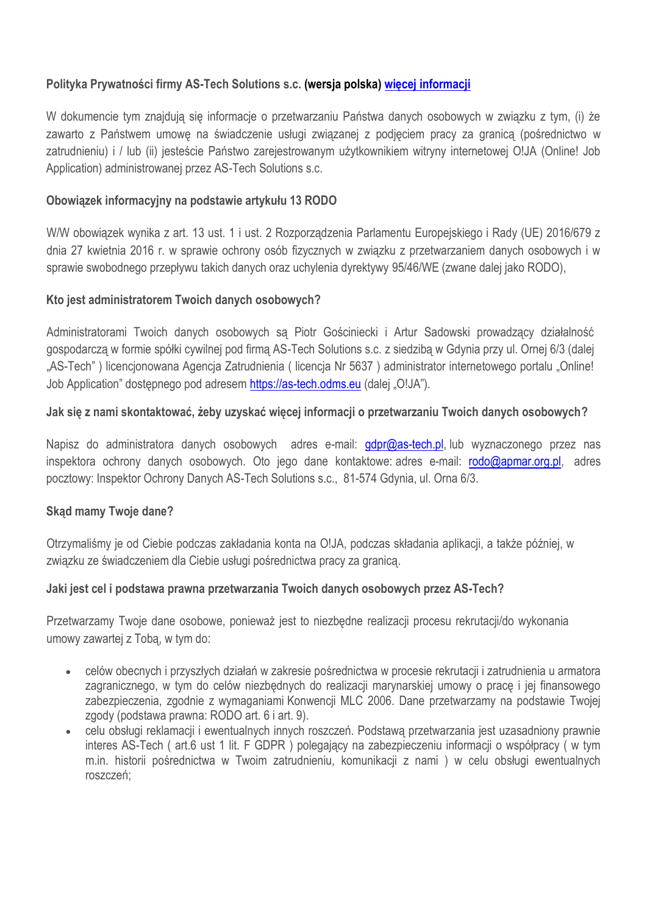# **Polityka Prywatności firmy AS-Tech Solutions s.c. (wersja polska) [więcej informacji](http://www.as-tech.pl/static,31,pl,,)**

W dokumencie tym znajdują się informacje o przetwarzaniu Państwa danych osobowych w związku z tym, (i) że zawarto z Państwem umowę na świadczenie usługi związanej z podjęciem pracy za granicą (pośrednictwo w zatrudnieniu) i / lub (ii) jesteście Państwo zarejestrowanym użytkownikiem witryny internetowej O!JA (Online! Job Application) administrowanej przez AS-Tech Solutions s.c.

# **Obowiązek informacyjny na podstawie artykułu 13 RODO**

W/W obowiązek wynika z art. 13 ust. 1 i ust. 2 Rozporządzenia Parlamentu Europejskiego i Rady (UE) 2016/679 z dnia 27 kwietnia 2016 r. w sprawie ochrony osób fizycznych w związku z przetwarzaniem danych osobowych i w sprawie swobodnego przepływu takich danych oraz uchylenia dyrektywy 95/46/WE (zwane dalej jako RODO),

# **Kto jest administratorem Twoich danych osobowych?**

Administratorami Twoich danych osobowych są Piotr Gościniecki i Artur Sadowski prowadzący działalność gospodarczą w formie spółki cywilnej pod firmą AS-Tech Solutions s.c. z siedzibą w Gdynia przy ul. Ornej 6/3 (dalej "AS-Tech" ) licencjonowana Agencja Zatrudnienia ( licencja Nr 5637 ) administrator internetowego portalu "Online! Job Application" dostępnego pod adresem [https://as-tech.odms.eu](https://as-tech.odms.eu/) (dalej "O!JA").

# **Jak się z nami skontaktować, żeby uzyskać więcej informacji o przetwarzaniu Twoich danych osobowych?**

Napisz do administratora danych osobowych adres e-mail: [gdpr@as-tech.pl,](gdpr@as-tech.pl) lub wyznaczonego przez nas inspektora ochrony danych osobowych. Oto jego dane kontaktowe: adres e-mail: [rodo@apmar.org.pl,](rodo@apmar.org.pl) adres pocztowy: Inspektor Ochrony Danych AS-Tech Solutions s.c., 81-574 Gdynia, ul. Orna 6/3.

### **Skąd mamy Twoje dane?**

Otrzymaliśmy je od Ciebie podczas zakładania konta na O!JA, podczas składania aplikacji, a także później, w związku ze świadczeniem dla Ciebie usługi pośrednictwa pracy za granicą.

# **Jaki jest cel i podstawa prawna przetwarzania Twoich danych osobowych przez AS-Tech?**

Przetwarzamy Twoje dane osobowe, ponieważ jest to niezbędne realizacji procesu rekrutacji/do wykonania umowy zawartej z Tobą, w tym do:

- celów obecnych i przyszłych działań w zakresie pośrednictwa w procesie rekrutacji i zatrudnienia u armatora zagranicznego, w tym do celów niezbędnych do realizacji marynarskiej umowy o pracę i jej finansowego zabezpieczenia, zgodnie z wymaganiami Konwencji MLC 2006. Dane przetwarzamy na podstawie Twojej zgody (podstawa prawna: RODO art. 6 i art. 9).
- celu obsługi reklamacji i ewentualnych innych roszczeń. Podstawą przetwarzania jest uzasadniony prawnie interes AS-Tech ( art.6 ust 1 lit. F GDPR ) polegający na zabezpieczeniu informacji o współpracy ( w tym m.in. historii pośrednictwa w Twoim zatrudnieniu, komunikacji z nami ) w celu obsługi ewentualnych roszczeń;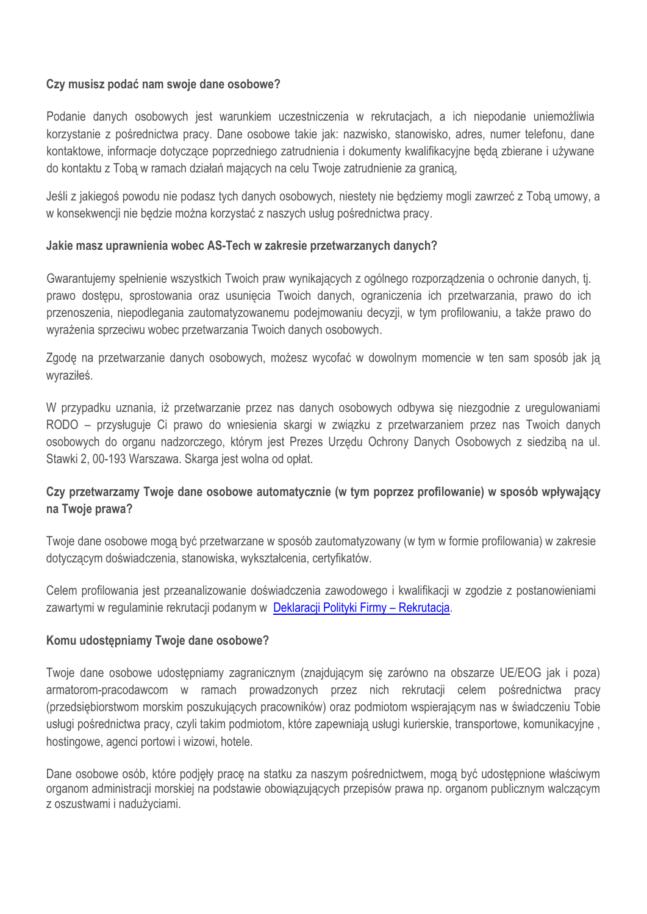### **Czy musisz podać nam swoje dane osobowe?**

Podanie danych osobowych jest warunkiem uczestniczenia w rekrutacjach, a ich niepodanie uniemożliwia korzystanie z pośrednictwa pracy. Dane osobowe takie jak: nazwisko, stanowisko, adres, numer telefonu, dane kontaktowe, informacje dotyczące poprzedniego zatrudnienia i dokumenty kwalifikacyjne będą zbierane i używane do kontaktu z Tobą w ramach działań mających na celu Twoje zatrudnienie za granicą,

Jeśli z jakiegoś powodu nie podasz tych danych osobowych, niestety nie będziemy mogli zawrzeć z Tobą umowy, a w konsekwencji nie będzie można korzystać z naszych usług pośrednictwa pracy.

# **Jakie masz uprawnienia wobec AS-Tech w zakresie przetwarzanych danych?**

Gwarantujemy spełnienie wszystkich Twoich praw wynikających z ogólnego rozporządzenia o ochronie danych, tj. prawo dostępu, sprostowania oraz usunięcia Twoich danych, ograniczenia ich przetwarzania, prawo do ich przenoszenia, niepodlegania zautomatyzowanemu podejmowaniu decyzji, w tym profilowaniu, a także prawo do wyrażenia sprzeciwu wobec przetwarzania Twoich danych osobowych.

Zgodę na przetwarzanie danych osobowych, możesz wycofać w dowolnym momencie w ten sam sposób jak ją wyraziłeś.

W przypadku uznania, iż przetwarzanie przez nas danych osobowych odbywa się niezgodnie z uregulowaniami RODO – przysługuje Ci prawo do wniesienia skargi w związku z przetwarzaniem przez nas Twoich danych osobowych do organu nadzorczego, którym jest Prezes Urzędu Ochrony Danych Osobowych z siedzibą na ul. Stawki 2, 00-193 Warszawa. Skarga jest wolna od opłat.

# **Czy przetwarzamy Twoje dane osobowe automatycznie (w tym poprzez profilowanie) w sposób wpływający na Twoje prawa?**

Twoje dane osobowe mogą być przetwarzane w sposób zautomatyzowany (w tym w formie profilowania) w zakresie dotyczącym doświadczenia, stanowiska, wykształcenia, certyfikatów.

Celem profilowania jest przeanalizowanie doświadczenia zawodowego i kwalifikacji w zgodzie z postanowieniami zawartymi w regulaminie rekrutacji podanym w [Deklaracji Polityki Firmy](http://www.as-tech.pl/static,3,pl,,) – Rekrutacja.

# **Komu udostępniamy Twoje dane osobowe?**

Twoje dane osobowe udostępniamy zagranicznym (znajdującym się zarówno na obszarze UE/EOG jak i poza) armatorom-pracodawcom w ramach prowadzonych przez nich rekrutacji celem pośrednictwa pracy (przedsiębiorstwom morskim poszukujących pracowników) oraz podmiotom wspierającym nas w świadczeniu Tobie usługi pośrednictwa pracy, czyli takim podmiotom, które zapewniają usługi kurierskie, transportowe, komunikacyjne hostingowe, agenci portowi i wizowi, hotele.

Dane osobowe osób, które podjęły pracę na statku za naszym pośrednictwem, mogą być udostępnione właściwym organom administracji morskiej na podstawie obowiązujących przepisów prawa np. organom publicznym walczącym z oszustwami i nadużyciami.